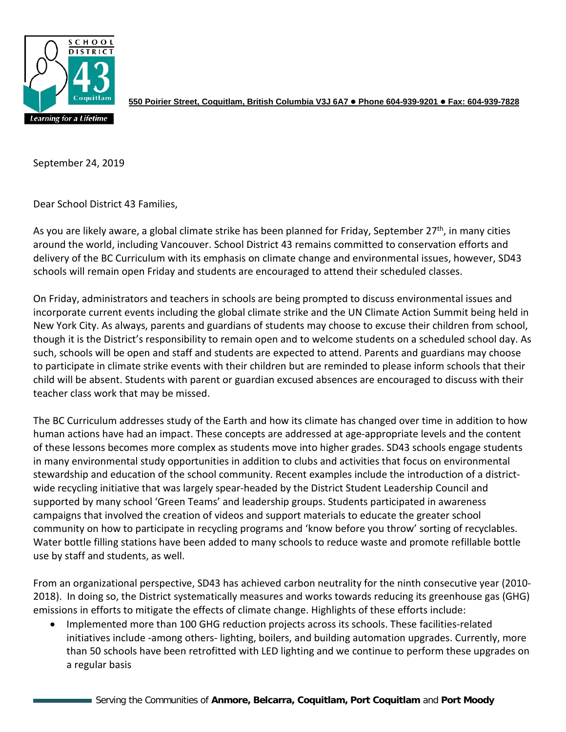

**550 Poirier Street, Coquitlam, British Columbia V3J 6A7 Phone 604-939-9201 Fax: 604-939-7828**

September 24, 2019

Dear School District 43 Families,

As you are likely aware, a global climate strike has been planned for Friday, September 27<sup>th</sup>, in many cities around the world, including Vancouver. School District 43 remains committed to conservation efforts and delivery of the BC Curriculum with its emphasis on climate change and environmental issues, however, SD43 schools will remain open Friday and students are encouraged to attend their scheduled classes.

On Friday, administrators and teachers in schools are being prompted to discuss environmental issues and incorporate current events including the global climate strike and the UN Climate Action Summit being held in New York City. As always, parents and guardians of students may choose to excuse their children from school, though it is the District's responsibility to remain open and to welcome students on a scheduled school day. As such, schools will be open and staff and students are expected to attend. Parents and guardians may choose to participate in climate strike events with their children but are reminded to please inform schools that their child will be absent. Students with parent or guardian excused absences are encouraged to discuss with their teacher class work that may be missed.

The BC Curriculum addresses study of the Earth and how its climate has changed over time in addition to how human actions have had an impact. These concepts are addressed at age-appropriate levels and the content of these lessons becomes more complex as students move into higher grades. SD43 schools engage students in many environmental study opportunities in addition to clubs and activities that focus on environmental stewardship and education of the school community. Recent examples include the introduction of a districtwide recycling initiative that was largely spear-headed by the District Student Leadership Council and supported by many school 'Green Teams' and leadership groups. Students participated in awareness campaigns that involved the creation of videos and support materials to educate the greater school community on how to participate in recycling programs and 'know before you throw' sorting of recyclables. Water bottle filling stations have been added to many schools to reduce waste and promote refillable bottle use by staff and students, as well.

From an organizational perspective, SD43 has achieved carbon neutrality for the ninth consecutive year (2010- 2018). In doing so, the District systematically measures and works towards reducing its greenhouse gas (GHG) emissions in efforts to mitigate the effects of climate change. Highlights of these efforts include:

• Implemented more than 100 GHG reduction projects across its schools. These facilities-related initiatives include -among others- lighting, boilers, and building automation upgrades. Currently, more than 50 schools have been retrofitted with LED lighting and we continue to perform these upgrades on a regular basis